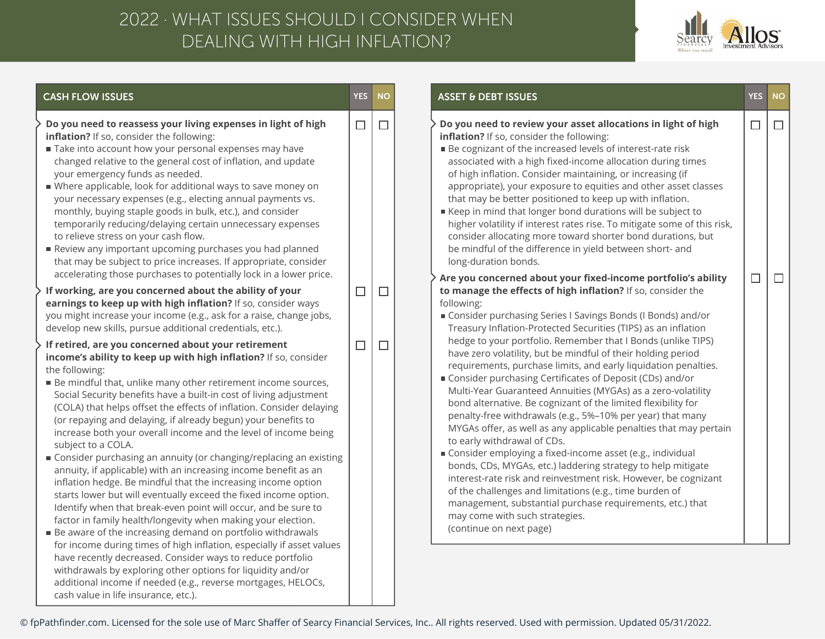## DEALING WITH HIGH INFLATION? 2022 · WHAT ISSUES SHOULD I CONSIDER WHEN



| <b>CASH FLOW ISSUES</b>                                                                                                                                                                                                                                                                                                                                                                                                                                                                                                                                                                                                                                                                                                                                                                                                                                                                                                                                                                                                                                                                                                                                                                                                                                                                                                                                                                                                                                                                                                                                | <b>YES</b>       | <b>NO</b>        | <b>ASSET &amp; DEBT ISSUES</b>                                                                                                                                                                                                                                                                                                                                                                                                                                                                                                                                                                                                                                                                                                                                                                                                                                                                                                                                                                                                                                                                                                                                                                                                        | <b>YES</b> | <b>NO</b> |
|--------------------------------------------------------------------------------------------------------------------------------------------------------------------------------------------------------------------------------------------------------------------------------------------------------------------------------------------------------------------------------------------------------------------------------------------------------------------------------------------------------------------------------------------------------------------------------------------------------------------------------------------------------------------------------------------------------------------------------------------------------------------------------------------------------------------------------------------------------------------------------------------------------------------------------------------------------------------------------------------------------------------------------------------------------------------------------------------------------------------------------------------------------------------------------------------------------------------------------------------------------------------------------------------------------------------------------------------------------------------------------------------------------------------------------------------------------------------------------------------------------------------------------------------------------|------------------|------------------|---------------------------------------------------------------------------------------------------------------------------------------------------------------------------------------------------------------------------------------------------------------------------------------------------------------------------------------------------------------------------------------------------------------------------------------------------------------------------------------------------------------------------------------------------------------------------------------------------------------------------------------------------------------------------------------------------------------------------------------------------------------------------------------------------------------------------------------------------------------------------------------------------------------------------------------------------------------------------------------------------------------------------------------------------------------------------------------------------------------------------------------------------------------------------------------------------------------------------------------|------------|-----------|
| Do you need to reassess your living expenses in light of high<br>inflation? If so, consider the following:<br>Take into account how your personal expenses may have<br>changed relative to the general cost of inflation, and update<br>your emergency funds as needed.<br>■ Where applicable, look for additional ways to save money on<br>your necessary expenses (e.g., electing annual payments vs.<br>monthly, buying staple goods in bulk, etc.), and consider<br>temporarily reducing/delaying certain unnecessary expenses<br>to relieve stress on your cash flow.<br>Review any important upcoming purchases you had planned<br>that may be subject to price increases. If appropriate, consider                                                                                                                                                                                                                                                                                                                                                                                                                                                                                                                                                                                                                                                                                                                                                                                                                                              | $\Box$           | $\Box$           | Do you need to review your asset allocations in light of high<br>inflation? If so, consider the following:<br>■ Be cognizant of the increased levels of interest-rate risk<br>associated with a high fixed-income allocation during times<br>of high inflation. Consider maintaining, or increasing (if<br>appropriate), your exposure to equities and other asset classes<br>that may be better positioned to keep up with inflation.<br>Execp in mind that longer bond durations will be subject to<br>higher volatility if interest rates rise. To mitigate some of this risk,<br>consider allocating more toward shorter bond durations, but<br>be mindful of the difference in yield between short- and<br>long-duration bonds.                                                                                                                                                                                                                                                                                                                                                                                                                                                                                                  | $\Box$     | $\Box$    |
| accelerating those purchases to potentially lock in a lower price.<br>If working, are you concerned about the ability of your<br>earnings to keep up with high inflation? If so, consider ways<br>you might increase your income (e.g., ask for a raise, change jobs,<br>develop new skills, pursue additional credentials, etc.).<br>If retired, are you concerned about your retirement<br>income's ability to keep up with high inflation? If so, consider<br>the following:<br><b>Be mindful that, unlike many other retirement income sources,</b><br>Social Security benefits have a built-in cost of living adjustment<br>(COLA) that helps offset the effects of inflation. Consider delaying<br>(or repaying and delaying, if already begun) your benefits to<br>increase both your overall income and the level of income being<br>subject to a COLA.<br>■ Consider purchasing an annuity (or changing/replacing an existing<br>annuity, if applicable) with an increasing income benefit as an<br>inflation hedge. Be mindful that the increasing income option<br>starts lower but will eventually exceed the fixed income option.<br>Identify when that break-even point will occur, and be sure to<br>factor in family health/longevity when making your election.<br>■ Be aware of the increasing demand on portfolio withdrawals<br>for income during times of high inflation, especially if asset values<br>have recently decreased. Consider ways to reduce portfolio<br>withdrawals by exploring other options for liquidity and/or | $\Box$<br>$\Box$ | $\Box$<br>$\Box$ | Are you concerned about your fixed-income portfolio's ability<br>to manage the effects of high inflation? If so, consider the<br>following:<br>■ Consider purchasing Series I Savings Bonds (I Bonds) and/or<br>Treasury Inflation-Protected Securities (TIPS) as an inflation<br>hedge to your portfolio. Remember that I Bonds (unlike TIPS)<br>have zero volatility, but be mindful of their holding period<br>requirements, purchase limits, and early liquidation penalties.<br>Consider purchasing Certificates of Deposit (CDs) and/or<br>Multi-Year Guaranteed Annuities (MYGAs) as a zero-volatility<br>bond alternative. Be cognizant of the limited flexibility for<br>penalty-free withdrawals (e.g., 5%-10% per year) that many<br>MYGAs offer, as well as any applicable penalties that may pertain<br>to early withdrawal of CDs.<br>Consider employing a fixed-income asset (e.g., individual<br>bonds, CDs, MYGAs, etc.) laddering strategy to help mitigate<br>interest-rate risk and reinvestment risk. However, be cognizant<br>of the challenges and limitations (e.g., time burden of<br>management, substantial purchase requirements, etc.) that<br>may come with such strategies.<br>(continue on next page) | $\Box$     | $\Box$    |